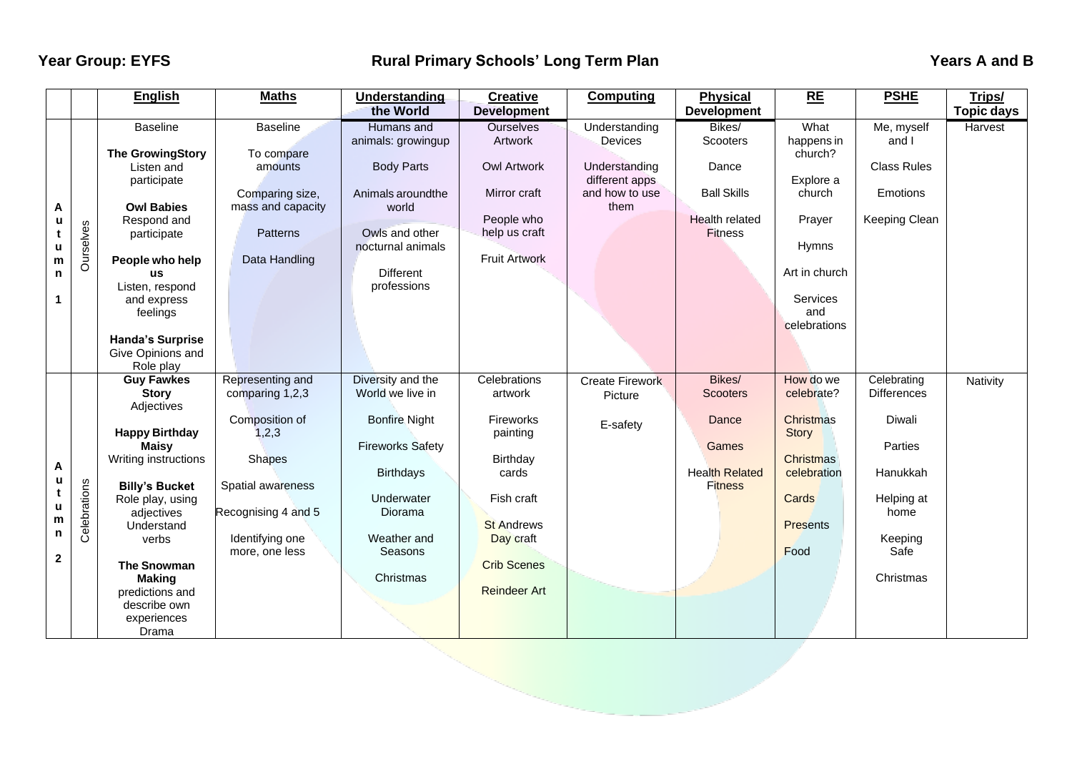## **Year Group: EYFS** The Rural Primary Schools' Long Term Plan The Contract Team Years A and B and B and B and B

|              |              | <b>English</b>                        | <b>Maths</b>                      | Understanding                       | <b>Creative</b>      | <b>Computing</b>       | <b>Physical</b>       | RE                              | <b>PSHE</b>        | Trips/            |
|--------------|--------------|---------------------------------------|-----------------------------------|-------------------------------------|----------------------|------------------------|-----------------------|---------------------------------|--------------------|-------------------|
|              |              |                                       |                                   | the World                           | <b>Development</b>   |                        | <b>Development</b>    |                                 |                    | <b>Topic days</b> |
|              |              | <b>Baseline</b>                       | <b>Baseline</b>                   | Humans and                          | <b>Ourselves</b>     | Understanding          | Bikes/                | What                            | Me, myself         | Harvest           |
|              |              |                                       |                                   | animals: growingup                  | Artwork              | Devices                | Scooters              | happens in                      | and I              |                   |
|              |              | <b>The GrowingStory</b><br>Listen and | To compare<br>amounts             | <b>Body Parts</b>                   | <b>Owl Artwork</b>   | Understanding          | Dance                 | church?                         | <b>Class Rules</b> |                   |
|              |              | participate                           |                                   |                                     |                      | different apps         |                       | Explore a                       |                    |                   |
|              |              |                                       | Comparing size,                   | Animals around the                  | Mirror craft         | and how to use         | <b>Ball Skills</b>    | church                          | Emotions           |                   |
| A            |              | <b>Owl Babies</b>                     | mass and capacity                 | world                               |                      | them                   |                       |                                 |                    |                   |
| u            |              | Respond and                           |                                   |                                     | People who           |                        | <b>Health related</b> | Prayer                          | Keeping Clean      |                   |
|              | Ourselves    | participate                           | Patterns                          | Owls and other<br>nocturnal animals | help us craft        |                        | <b>Fitness</b>        | Hymns                           |                    |                   |
| u<br>m       |              | People who help                       | Data Handling                     |                                     | <b>Fruit Artwork</b> |                        |                       |                                 |                    |                   |
| n            |              | <b>US</b>                             |                                   | <b>Different</b>                    |                      |                        |                       | Art in church                   |                    |                   |
| 1            |              | Listen, respond                       |                                   | professions                         |                      |                        |                       |                                 |                    |                   |
|              |              | and express                           |                                   |                                     |                      |                        |                       | Services                        |                    |                   |
|              |              | feelings                              |                                   |                                     |                      |                        |                       | and<br>celebrations             |                    |                   |
|              |              | <b>Handa's Surprise</b>               |                                   |                                     |                      |                        |                       |                                 |                    |                   |
|              |              | Give Opinions and                     |                                   |                                     |                      |                        |                       |                                 |                    |                   |
|              |              | Role play                             |                                   |                                     |                      |                        |                       |                                 |                    |                   |
|              |              | <b>Guy Fawkes</b>                     | Representing and                  | Diversity and the                   | Celebrations         | <b>Create Firework</b> | Bikes/                | How do we                       | Celebrating        | Nativity          |
|              |              | <b>Story</b><br>Adjectives            | comparing 1,2,3                   | World we live in                    | artwork              | Picture                | <b>Scooters</b>       | celebrate?                      | <b>Differences</b> |                   |
|              |              |                                       | Composition of                    | <b>Bonfire Night</b>                | Fireworks            |                        | Dance                 | Christmas                       | <b>Diwali</b>      |                   |
|              |              | <b>Happy Birthday</b>                 | 1, 2, 3                           |                                     | painting             | E-safety               |                       | Story                           |                    |                   |
|              |              | <b>Maisy</b>                          |                                   | <b>Fireworks Safety</b>             |                      |                        | Games                 |                                 | Parties            |                   |
| A            |              | Writing instructions                  | <b>Shapes</b>                     |                                     | Birthday             |                        | <b>Health Related</b> | <b>Christmas</b><br>celebration | Hanukkah           |                   |
|              |              | <b>Billy's Bucket</b>                 | Spatial awareness                 | <b>Birthdays</b>                    | cards                |                        | <b>Fitness</b>        |                                 |                    |                   |
|              | Celebrations | Role play, using                      |                                   | Underwater                          | Fish craft           |                        |                       | Cards                           | Helping at         |                   |
| u<br>m<br>n  |              | adjectives                            | Recognising 4 and 5               | Diorama                             |                      |                        |                       |                                 | home               |                   |
|              |              | Understand                            |                                   |                                     | <b>St Andrews</b>    |                        |                       | <b>Presents</b>                 |                    |                   |
|              |              | verbs                                 | Identifying one<br>more, one less | Weather and<br>Seasons              | Day craft            |                        |                       | Food                            | Keeping<br>Safe    |                   |
| $\mathbf{2}$ |              | <b>The Snowman</b>                    |                                   |                                     | <b>Crib Scenes</b>   |                        |                       |                                 |                    |                   |
|              |              | <b>Making</b>                         |                                   | Christmas                           |                      |                        |                       |                                 | Christmas          |                   |
|              |              | predictions and                       |                                   |                                     | <b>Reindeer Art</b>  |                        |                       |                                 |                    |                   |
|              |              | describe own                          |                                   |                                     |                      |                        |                       |                                 |                    |                   |
|              |              |                                       |                                   |                                     |                      |                        |                       |                                 |                    |                   |
|              |              | experiences<br>Drama                  |                                   |                                     |                      |                        |                       |                                 |                    |                   |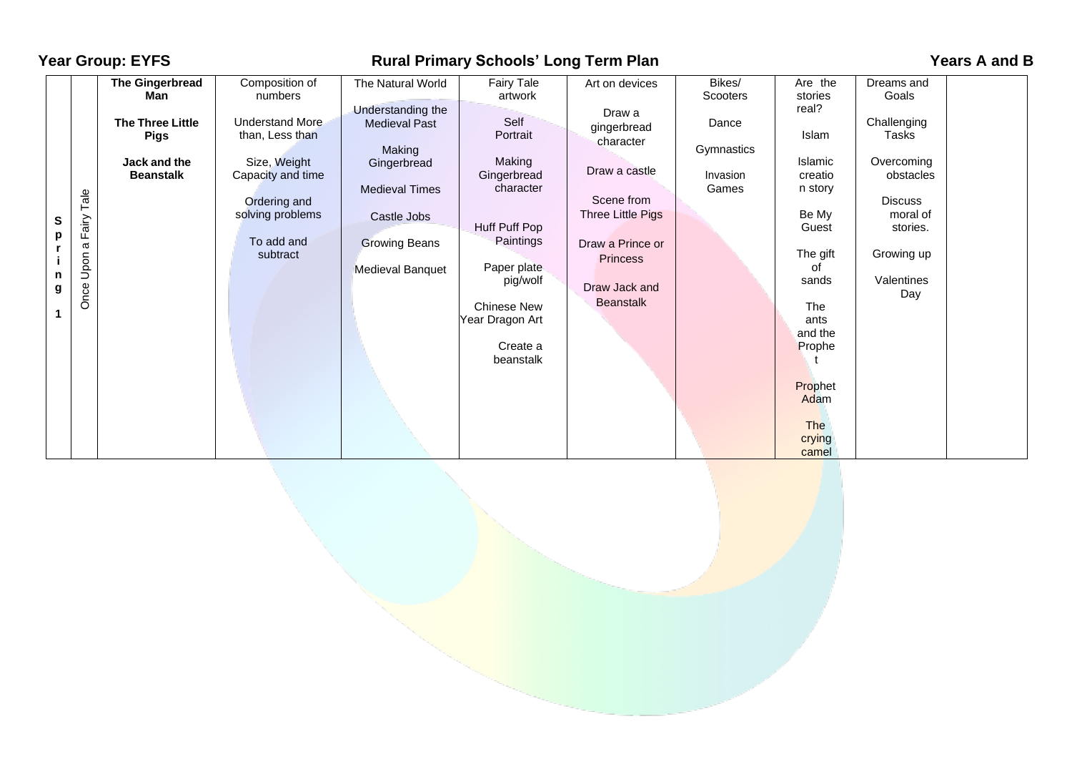| <b>Year Group: EYFS</b>                                |                                                                                                      | <b>Rural Primary Schools' Long Term Plan</b>                                                                                                                              |                                                                                                                                                                                    |                                                                                                                                                                                                            |                                                                                                                                                                                      |                                                                |                                                                                                                                                                                                            |                                                                                                                                                     | Years A and B |  |
|--------------------------------------------------------|------------------------------------------------------------------------------------------------------|---------------------------------------------------------------------------------------------------------------------------------------------------------------------------|------------------------------------------------------------------------------------------------------------------------------------------------------------------------------------|------------------------------------------------------------------------------------------------------------------------------------------------------------------------------------------------------------|--------------------------------------------------------------------------------------------------------------------------------------------------------------------------------------|----------------------------------------------------------------|------------------------------------------------------------------------------------------------------------------------------------------------------------------------------------------------------------|-----------------------------------------------------------------------------------------------------------------------------------------------------|---------------|--|
| Tale<br>Fairy<br>S<br>p<br>ω<br>Upon<br>n<br>Once<br>g | The Gingerbread<br>Man<br><b>The Three Little</b><br><b>Pigs</b><br>Jack and the<br><b>Beanstalk</b> | Composition of<br>numbers<br><b>Understand More</b><br>than, Less than<br>Size, Weight<br>Capacity and time<br>Ordering and<br>solving problems<br>To add and<br>subtract | The Natural World<br>Understanding the<br><b>Medieval Past</b><br>Making<br>Gingerbread<br><b>Medieval Times</b><br>Castle Jobs<br><b>Growing Beans</b><br><b>Medieval Banquet</b> | Fairy Tale<br>artwork<br>Self<br>Portrait<br>Making<br>Gingerbread<br>character<br>Huff Puff Pop<br>Paintings<br>Paper plate<br>pig/wolf<br><b>Chinese New</b><br>Year Dragon Art<br>Create a<br>beanstalk | Art on devices<br>Draw a<br>gingerbread<br>character<br>Draw a castle<br>Scene from<br>Three Little Pigs<br>Draw a Prince or<br><b>Princess</b><br>Draw Jack and<br><b>Beanstalk</b> | Bikes/<br>Scooters<br>Dance<br>Gymnastics<br>Invasion<br>Games | Are the<br>stories<br>real?<br>Islam<br>Islamic<br>creatio<br>n story<br>Be My<br>Guest<br>The gift<br>οf<br>sands<br>The<br>ants<br>and the<br>Prophe<br>Prophet<br>Adam<br><b>The</b><br>crying<br>camel | Dreams and<br>Goals<br>Challenging<br>Tasks<br>Overcoming<br>obstacles<br><b>Discuss</b><br>moral of<br>stories.<br>Growing up<br>Valentines<br>Day |               |  |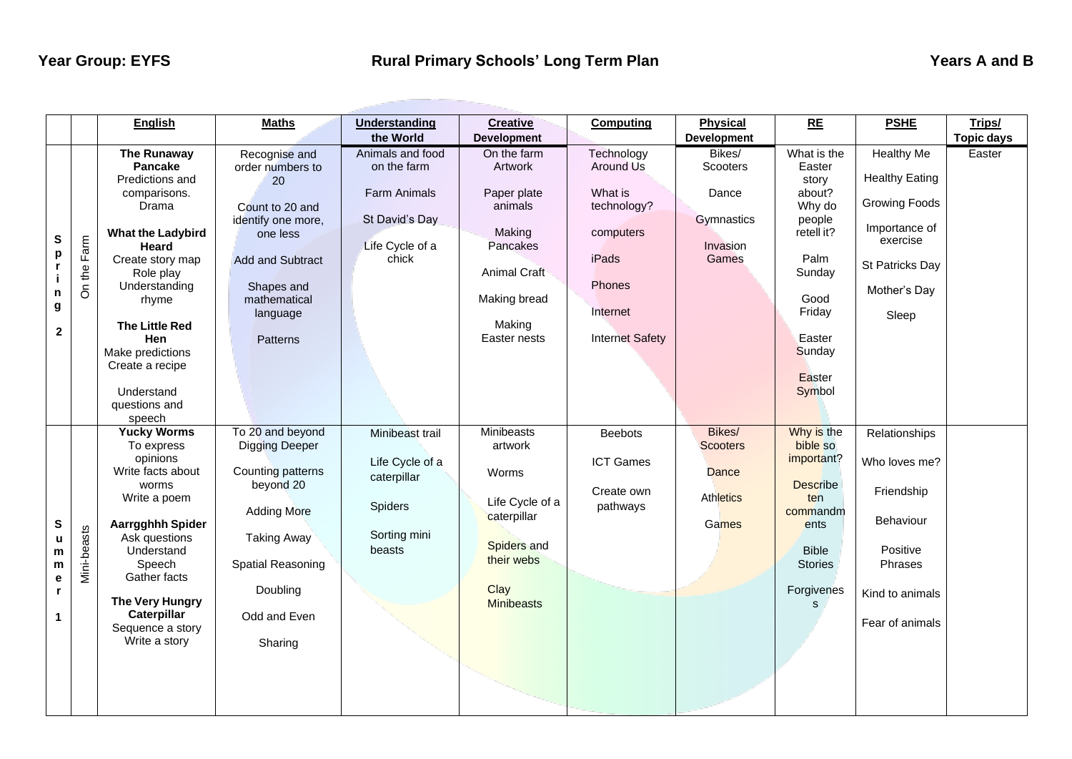|                                                                       | English                                                                                                                                                                                                                                                                                          | <b>Maths</b>                                                                                                                                                                        | <b>Understanding</b><br>the World                                                                    | <b>Creative</b><br><b>Development</b>                                                                                                   | <b>Computing</b>                                                                                                        | <b>Physical</b><br><b>Development</b>                           | RE                                                                                                                                                     | <b>PSHE</b>                                                                                                                          | Trips/<br><b>Topic days</b> |
|-----------------------------------------------------------------------|--------------------------------------------------------------------------------------------------------------------------------------------------------------------------------------------------------------------------------------------------------------------------------------------------|-------------------------------------------------------------------------------------------------------------------------------------------------------------------------------------|------------------------------------------------------------------------------------------------------|-----------------------------------------------------------------------------------------------------------------------------------------|-------------------------------------------------------------------------------------------------------------------------|-----------------------------------------------------------------|--------------------------------------------------------------------------------------------------------------------------------------------------------|--------------------------------------------------------------------------------------------------------------------------------------|-----------------------------|
| S<br>Farm<br>p<br>On the<br>${\bf n}$<br>g<br>$\overline{\mathbf{2}}$ | The Runaway<br><b>Pancake</b><br>Predictions and<br>comparisons.<br>Drama<br><b>What the Ladybird</b><br>Heard<br>Create story map<br>Role play<br>Understanding<br>rhyme<br><b>The Little Red</b><br><b>Hen</b><br>Make predictions<br>Create a recipe<br>Understand<br>questions and<br>speech | Recognise and<br>order numbers to<br>20<br>Count to 20 and<br>identify one more,<br>one less<br><b>Add and Subtract</b><br>Shapes and<br>mathematical<br>language<br>Patterns       | Animals and food<br>on the farm<br><b>Farm Animals</b><br>St David's Day<br>Life Cycle of a<br>chick | On the farm<br>Artwork<br>Paper plate<br>animals<br>Making<br>Pancakes<br><b>Animal Craft</b><br>Making bread<br>Making<br>Easter nests | Technology<br>Around Us<br>What is<br>technology?<br>computers<br>iPads<br>Phones<br>Internet<br><b>Internet Safety</b> | Bikes/<br>Scooters<br>Dance<br>Gymnastics<br>Invasion<br>Games  | What is the<br>Easter<br>story<br>about?<br>Why do<br>people<br>retell it?<br>Palm<br>Sunday<br>Good<br>Friday<br>Easter<br>Sunday<br>Easter<br>Symbol | Healthy Me<br><b>Healthy Eating</b><br><b>Growing Foods</b><br>Importance of<br>exercise<br>St Patricks Day<br>Mother's Day<br>Sleep | Easter                      |
| $\mathbf{s}$<br>Mini-beasts<br>u<br>m<br>m<br>e<br>$\mathbf{r}$<br>1  | <b>Yucky Worms</b><br>To express<br>opinions<br>Write facts about<br>worms<br>Write a poem<br>Aarrgghhh Spider<br>Ask questions<br>Understand<br>Speech<br>Gather facts<br>The Very Hungry<br>Caterpillar<br>Sequence a story<br>Write a story                                                   | To 20 and beyond<br><b>Digging Deeper</b><br>Counting patterns<br>beyond 20<br><b>Adding More</b><br><b>Taking Away</b><br>Spatial Reasoning<br>Doubling<br>Odd and Even<br>Sharing | Minibeast trail<br>Life Cycle of a<br>caterpillar<br>Spiders<br>Sorting mini<br>beasts               | Minibeasts<br>artwork<br>Worms<br>Life Cycle of a<br>caterpillar<br>Spiders and<br>their webs<br>Clay<br><b>Minibeasts</b>              | <b>Beebots</b><br>ICT Games<br>Create own<br>pathways                                                                   | Bikes/<br><b>Scooters</b><br>Dance<br><b>Athletics</b><br>Games | Why is the<br>bible so<br>important?<br><b>Describe</b><br>ten<br>commandm<br>ents<br><b>Bible</b><br><b>Stories</b><br>Forgivenes<br>$\mathsf{s}$     | Relationships<br>Who loves me?<br>Friendship<br>Behaviour<br>Positive<br><b>Phrases</b><br>Kind to animals<br>Fear of animals        |                             |